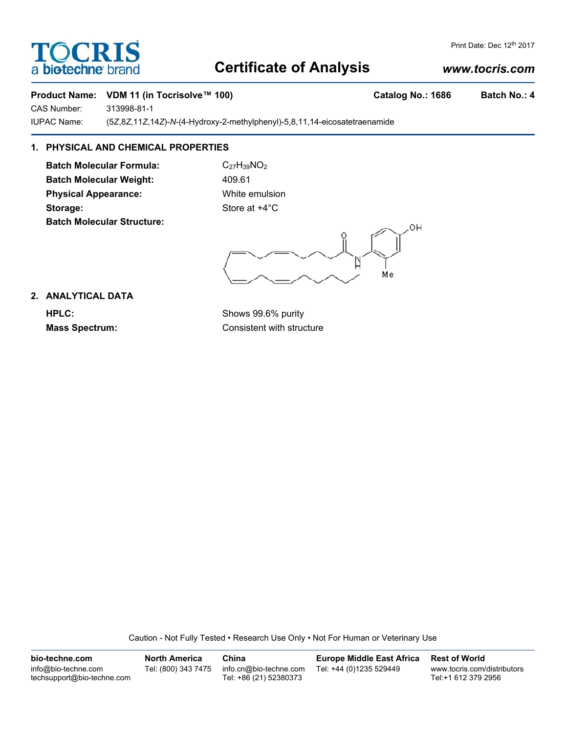## **Certificate of Analysis**

### *www.tocris.com*

Print Date: Dec 12<sup>th</sup> 2017

#### **Product Name: VDM 11 (in Tocrisolve™ 100)** Catalog No.: 1686 Batch No.: 4

CAS Number: 313998-81-1

IUPAC Name: (5*Z*,8*Z*,11*Z*,14*Z*)-*N*-(4-Hydroxy-2-methylphenyl)-5,8,11,14-eicosatetraenamide

### **1. PHYSICAL AND CHEMICAL PROPERTIES**

**Batch Molecular Formula:** C<sub>27</sub>H<sub>39</sub>NO<sub>2</sub> Batch Molecular Weight: 409.61 **Physical Appearance:** White emulsion **Storage:** Store at  $+4^{\circ}$ C **Batch Molecular Structure:**

OН Me

#### **2. ANALYTICAL DATA**

**HPLC:** Shows 99.6% purity **Mass Spectrum:** Consistent with structure

Caution - Not Fully Tested • Research Use Only • Not For Human or Veterinary Use

**bio-techne.com** info@bio-techne.com techsupport@bio-techne.com **North America** Tel: (800) 343 7475 **China** info.cn@bio-techne.com Tel: +86 (21) 52380373 **Europe Middle East Africa** Tel: +44 (0)1235 529449 **Rest of World** www.tocris.com/distributors Tel:+1 612 379 2956